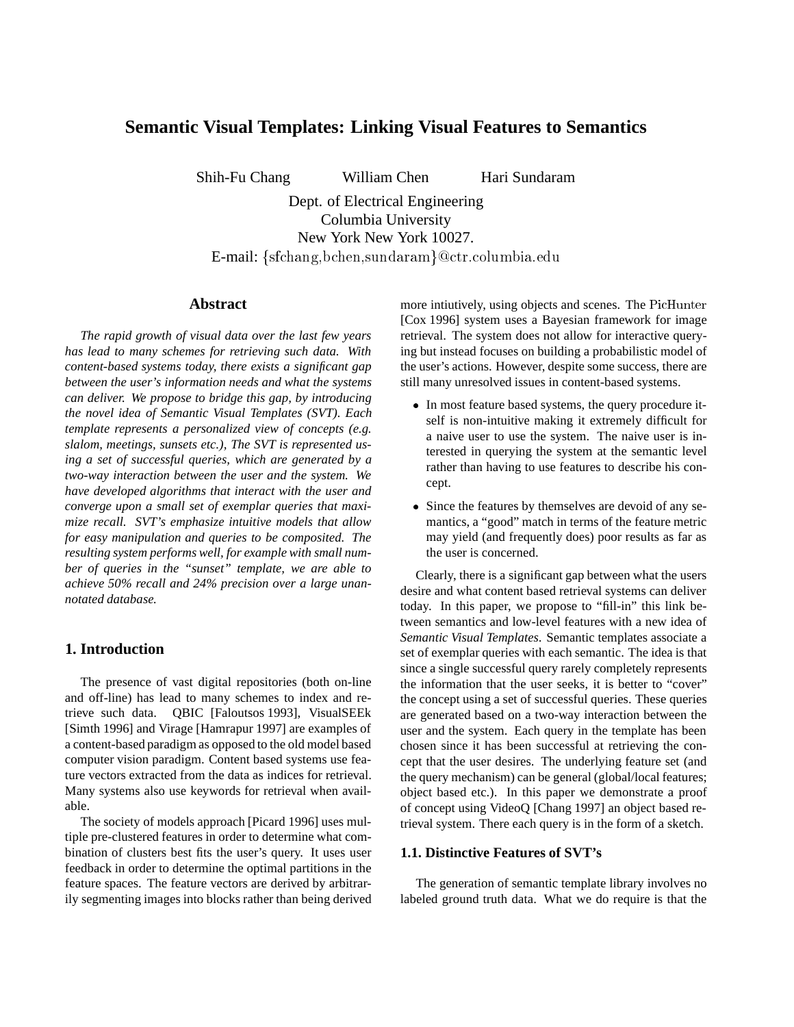# **Semantic Visual Templates: Linking Visual Features to Semantics**

Shih-Fu Chang William Chen Hari Sundaram

Dept. of Electrical Engineering Columbia University New York New York 10027. E-mail:  $\{sfichang, bchen, sundaram\}$ @ctr.columbia.edu

### **Abstract**

*The rapid growth of visual data over the last few years has lead to many schemes for retrieving such data. With content-based systems today, there exists a significant gap between the user's information needs and what the systems can deliver. We propose to bridge this gap, by introducing the novel idea of Semantic Visual Templates (SVT). Each template represents a personalized view of concepts (e.g. slalom, meetings, sunsets etc.), The SVT is represented using a set of successful queries, which are generated by a two-way interaction between the user and the system. We have developed algorithms that interact with the user and converge upon a small set of exemplar queries that maximize recall. SVT's emphasize intuitive models that allow for easy manipulation and queries to be composited. The resulting system performs well, for example with small number of queries in the "sunset" template, we are able to achieve 50% recall and 24% precision over a large unannotated database.*

### **1. Introduction**

The presence of vast digital repositories (both on-line and off-line) has lead to many schemes to index and retrieve such data. QBIC [Faloutsos 1993], VisualSEEk [Simth 1996] and Virage [Hamrapur 1997] are examples of a content-based paradigm as opposed to the old model based computer vision paradigm. Content based systems use feature vectors extracted from the data as indices for retrieval. Many systems also use keywords for retrieval when available.

The society of models approach [Picard 1996] uses multiple pre-clustered features in order to determine what combination of clusters best fits the user's query. It uses user feedback in order to determine the optimal partitions in the feature spaces. The feature vectors are derived by arbitrarily segmenting images into blocks rather than being derived more intiutively, using objects and scenes. The PicHunter [Cox 1996] system uses a Bayesian framework for image retrieval. The system does not allow for interactive querying but instead focuses on building a probabilistic model of the user's actions. However, despite some success, there are still many unresolved issues in content-based systems.

- In most feature based systems, the query procedure itself is non-intuitive making it extremely difficult for a naive user to use the system. The naive user is interested in querying the system at the semantic level rather than having to use features to describe his concept.
- Since the features by themselves are devoid of any semantics, a "good" match in terms of the feature metric may yield (and frequently does) poor results as far as the user is concerned.

Clearly, there is a significant gap between what the users desire and what content based retrieval systems can deliver today. In this paper, we propose to "fill-in" this link between semantics and low-level features with a new idea of *Semantic Visual Templates*. Semantic templates associate a set of exemplar queries with each semantic. The idea is that since a single successful query rarely completely represents the information that the user seeks, it is better to "cover" the concept using a set of successful queries. These queries are generated based on a two-way interaction between the user and the system. Each query in the template has been chosen since it has been successful at retrieving the concept that the user desires. The underlying feature set (and the query mechanism) can be general (global/local features; object based etc.). In this paper we demonstrate a proof of concept using VideoQ [Chang 1997] an object based retrieval system. There each query is in the form of a sketch.

### **1.1. Distinctive Features of SVT's**

The generation of semantic template library involves no labeled ground truth data. What we do require is that the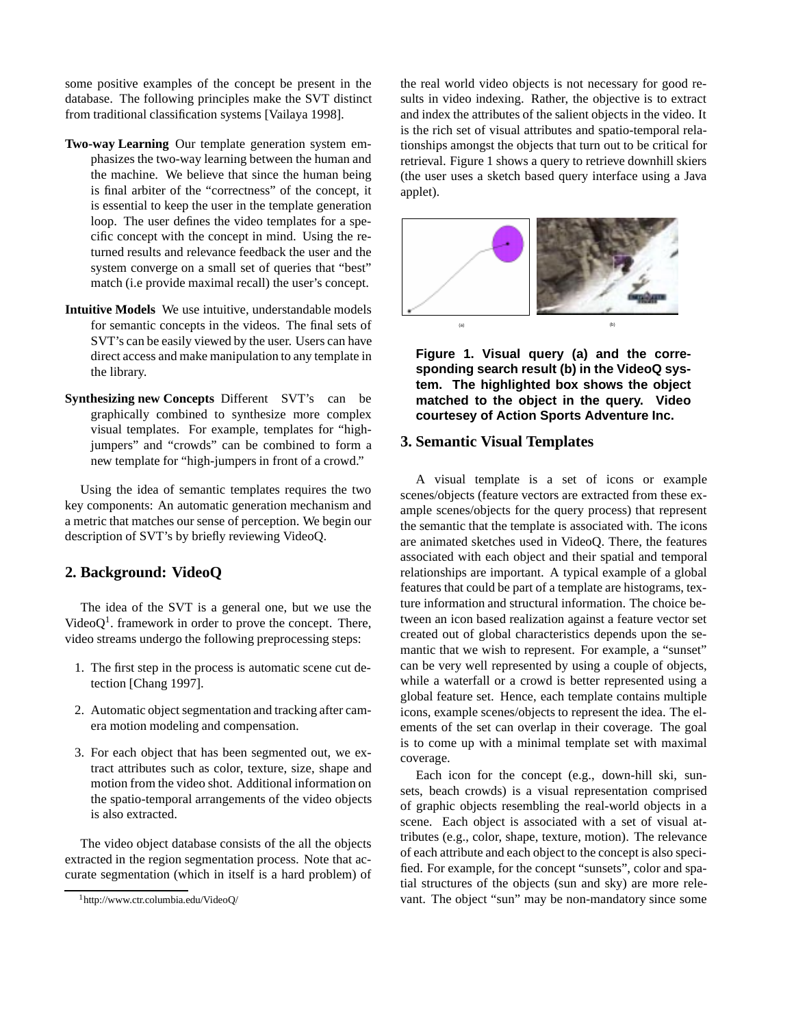some positive examples of the concept be present in the database. The following principles make the SVT distinct from traditional classification systems [Vailaya 1998].

- **Two-way Learning** Our template generation system emphasizes the two-way learning between the human and the machine. We believe that since the human being is final arbiter of the "correctness" of the concept, it is essential to keep the user in the template generation loop. The user defines the video templates for a specific concept with the concept in mind. Using the returned results and relevance feedback the user and the system converge on a small set of queries that "best" match (i.e provide maximal recall) the user's concept.
- **Intuitive Models** We use intuitive, understandable models for semantic concepts in the videos. The final sets of SVT's can be easily viewed by the user. Users can have direct access and make manipulation to any template in the library.
- **Synthesizing new Concepts** Different SVT's can be graphically combined to synthesize more complex visual templates. For example, templates for "highjumpers" and "crowds" can be combined to form a new template for "high-jumpers in front of a crowd."

Using the idea of semantic templates requires the two key components: An automatic generation mechanism and a metric that matches our sense of perception. We begin our description of SVT's by briefly reviewing VideoQ.

# **2. Background: VideoQ**

The idea of the SVT is a general one, but we use the Video $Q<sup>1</sup>$ . framework in order to prove the concept. There, video streams undergo the following preprocessing steps:

- 1. The first step in the process is automatic scene cut detection [Chang 1997].
- 2. Automatic object segmentation and tracking after camera motion modeling and compensation.
- 3. For each object that has been segmented out, we extract attributes such as color, texture, size, shape and motion from the video shot. Additional information on the spatio-temporal arrangements of the video objects is also extracted.

The video object database consists of the all the objects extracted in the region segmentation process. Note that accurate segmentation (which in itself is a hard problem) of the real world video objects is not necessary for good results in video indexing. Rather, the objective is to extract and index the attributes of the salient objects in the video. It is the rich set of visual attributes and spatio-temporal relationships amongst the objects that turn out to be critical for retrieval. Figure 1 shows a query to retrieve downhill skiers (the user uses a sketch based query interface using a Java applet).



**Figure 1. Visual query (a) and the corresponding search result (b) in the VideoQ system. The highlighted box shows the object matched to the object in the query. Video courtesey of Action Sports Adventure Inc.**

# **3. Semantic Visual Templates**

A visual template is a set of icons or example scenes/objects (feature vectors are extracted from these example scenes/objects for the query process) that represent the semantic that the template is associated with. The icons are animated sketches used in VideoQ. There, the features associated with each object and their spatial and temporal relationships are important. A typical example of a global features that could be part of a template are histograms, texture information and structural information. The choice between an icon based realization against a feature vector set created out of global characteristics depends upon the semantic that we wish to represent. For example, a "sunset" can be very well represented by using a couple of objects, while a waterfall or a crowd is better represented using a global feature set. Hence, each template contains multiple icons, example scenes/objects to represent the idea. The elements of the set can overlap in their coverage. The goal is to come up with a minimal template set with maximal coverage.

Each icon for the concept (e.g., down-hill ski, sunsets, beach crowds) is a visual representation comprised of graphic objects resembling the real-world objects in a scene. Each object is associated with a set of visual attributes (e.g., color, shape, texture, motion). The relevance of each attribute and each object to the concept is also specified. For example, for the concept "sunsets", color and spatial structures of the objects (sun and sky) are more relevant. The object "sun" may be non-mandatory since some

<sup>1</sup>http://www.ctr.columbia.edu/VideoQ/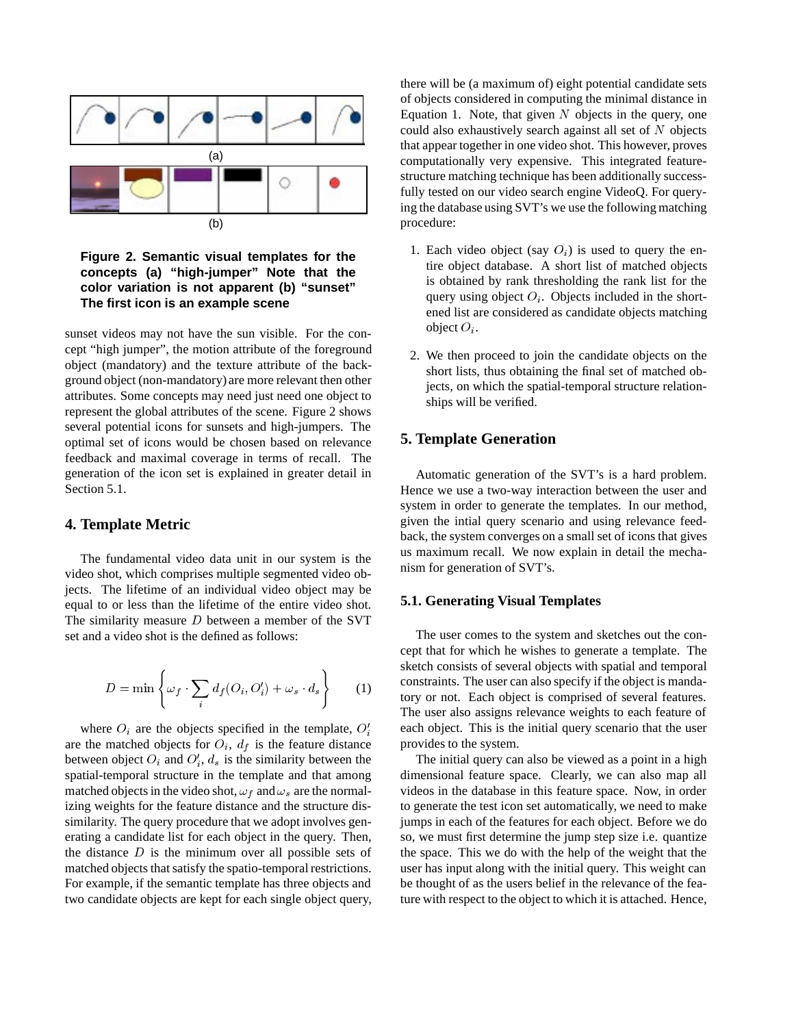

### **Figure 2. Semantic visual templates for the concepts (a) "high-jumper" Note that the color variation is not apparent (b) "sunset" The first icon is an example scene**

sunset videos may not have the sun visible. For the concept "high jumper", the motion attribute of the foreground object (mandatory) and the texture attribute of the background object (non-mandatory) are more relevant then other attributes. Some concepts may need just need one object to represent the global attributes of the scene. Figure 2 shows several potential icons for sunsets and high-jumpers. The optimal set of icons would be chosen based on relevance feedback and maximal coverage in terms of recall. The generation of the icon set is explained in greater detail in Section 5.1.

### **4. Template Metric**

The fundamental video data unit in our system is the video shot, which comprises multiple segmented video objects. The lifetime of an individual video object may be equal to or less than the lifetime of the entire video shot. The similarity measure  $D$  between a member of the SVT set and a video shot is the defined as follows:

$$
D = \min \left\{ \omega_f \cdot \sum_i d_f(O_i, O'_i) + \omega_s \cdot d_s \right\}
$$
 (1)

where  $O_i$  are the objects specified in the template,  $O_i$ are the matched objects for  $O_i$ ,  $d_f$  is the feature distance between object  $O_i$  and  $O'_i$ ,  $d_s$  is the similarity between the spatial-temporal structure in the template and that among matched objects in the video shot,  $\omega_f$  and  $\omega_s$  are the normalizing weights for the feature distance and the structure dissimilarity. The query procedure that we adopt involves generating a candidate list for each object in the query. Then, the distance  $D$  is the minimum over all possible sets of matched objects that satisfy the spatio-temporal restrictions. For example, if the semantic template has three objects and two candidate objects are kept for each single object query, there will be (a maximum of) eight potential candidate sets of objects considered in computing the minimal distance in Equation 1. Note, that given  $N$  objects in the query, one could also exhaustively search against all set of  $N$  objects that appear together in one video shot. This however, proves computationally very expensive. This integrated featurestructure matching technique has been additionally successfully tested on our video search engine VideoQ. For querying the database using SVT's we use the following matching procedure:

- 1. Each video object (say  $O_i$ ) is used to query the entire object database. A short list of matched objects is obtained by rank thresholding the rank list for the query using object  $O_i$ . Objects included in the shortened list are considered as candidate objects matching object  $O_i$ .
- 2. We then proceed to join the candidate objects on the short lists, thus obtaining the final set of matched objects, on which the spatial-temporal structure relationships will be verified.

# **5. Template Generation**

Automatic generation of the SVT's is a hard problem. Hence we use a two-way interaction between the user and system in order to generate the templates. In our method, given the intial query scenario and using relevance feedback, the system converges on a small set of icons that gives us maximum recall. We now explain in detail the mechanism for generation of SVT's.

#### **5.1. Generating Visual Templates**

The user comes to the system and sketches out the concept that for which he wishes to generate a template. The sketch consists of several objects with spatial and temporal constraints. The user can also specify if the object is mandatory or not. Each object is comprised of several features. The user also assigns relevance weights to each feature of each object. This is the initial query scenario that the user provides to the system.

The initial query can also be viewed as a point in a high dimensional feature space. Clearly, we can also map all videos in the database in this feature space. Now, in order to generate the test icon set automatically, we need to make jumps in each of the features for each object. Before we do so, we must first determine the jump step size i.e. quantize the space. This we do with the help of the weight that the user has input along with the initial query. This weight can be thought of as the users belief in the relevance of the feature with respect to the object to which it is attached. Hence,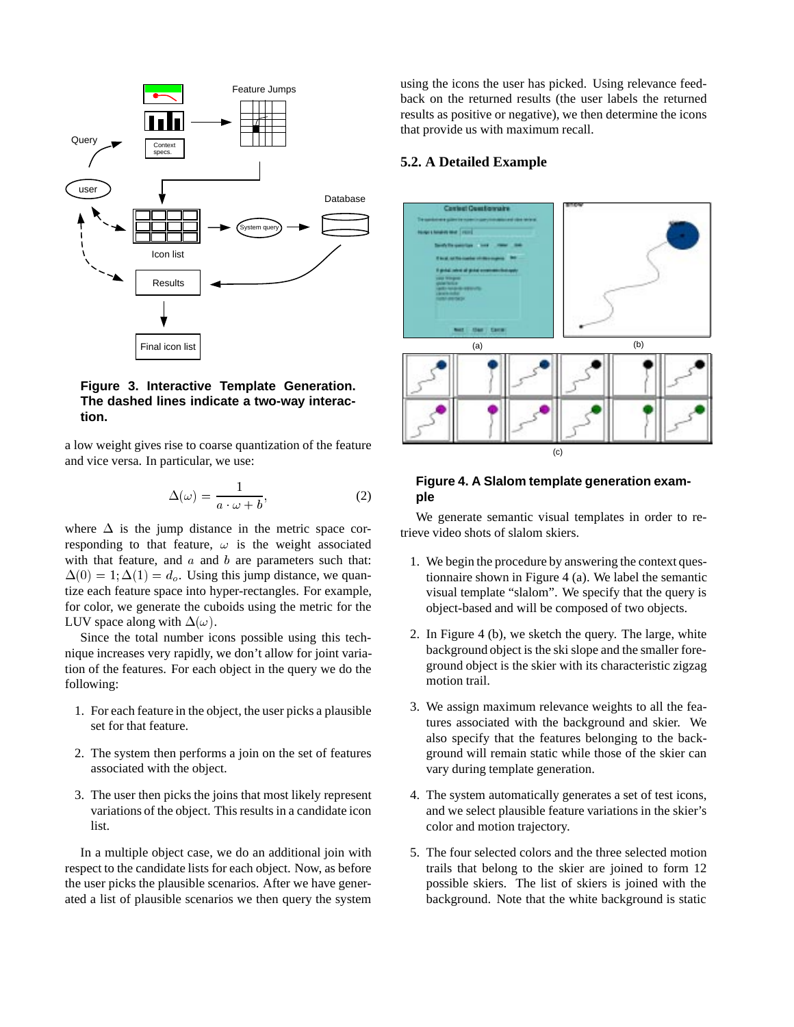

# **Figure 3. Interactive Template Generation. The dashed lines indicate a two-way interaction.**

a low weight gives rise to coarse quantization of the feature and vice versa. In particular, we use:

$$
\Delta(\omega) = \frac{1}{a \cdot \omega + b},\tag{2}
$$

where  $\Delta$  is the jump distance in the metric space corresponding to that feature,  $\omega$  is the weight associated with that feature, and  $a$  and  $b$  are parameters such that:  $\Delta(0) = 1; \Delta(1) = d_o$ . Using this jump distance, we quantize each feature space into hyper-rectangles. For example, for color, we generate the cuboids using the metric for the LUV space along with  $\Delta(\omega)$ .

Since the total number icons possible using this technique increases very rapidly, we don't allow for joint variation of the features. For each object in the query we do the following:

- 1. For each feature in the object, the user picks a plausible set for that feature.
- 2. The system then performs a join on the set of features associated with the object.
- 3. The user then picks the joins that most likely represent variations of the object. This results in a candidate icon list.

In a multiple object case, we do an additional join with respect to the candidate lists for each object. Now, as before the user picks the plausible scenarios. After we have generated a list of plausible scenarios we then query the system

using the icons the user has picked. Using relevance feedback on the returned results (the user labels the returned results as positive or negative), we then determine the icons that provide us with maximum recall.

### **5.2. A Detailed Example**



### **Figure 4. A Slalom template generation example**

We generate semantic visual templates in order to retrieve video shots of slalom skiers.

- 1. We begin the procedure by answering the context questionnaire shown in Figure 4 (a). We label the semantic visual template "slalom". We specify that the query is object-based and will be composed of two objects.
- 2. In Figure 4 (b), we sketch the query. The large, white background object is the ski slope and the smaller foreground object is the skier with its characteristic zigzag motion trail.
- 3. We assign maximum relevance weights to all the features associated with the background and skier. We also specify that the features belonging to the background will remain static while those of the skier can vary during template generation.
- 4. The system automatically generates a set of test icons, and we select plausible feature variations in the skier's color and motion trajectory.
- 5. The four selected colors and the three selected motion trails that belong to the skier are joined to form 12 possible skiers. The list of skiers is joined with the background. Note that the white background is static